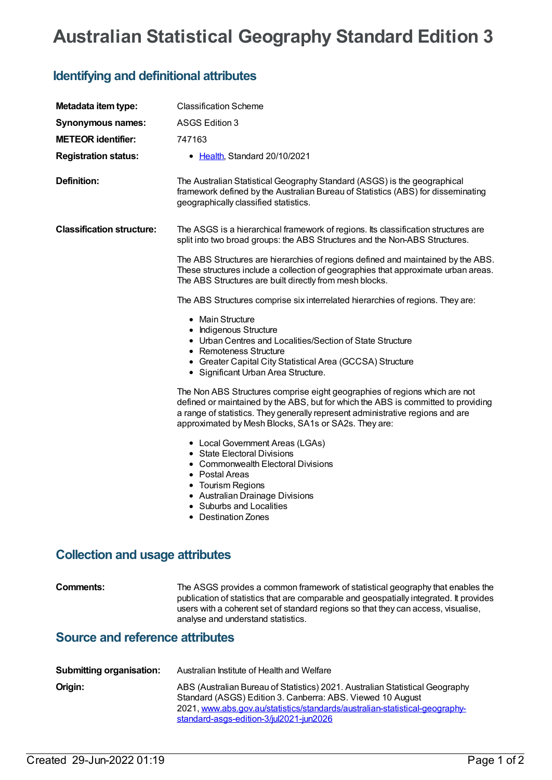## **Australian Statistical Geography Standard Edition 3**

## **Identifying and definitional attributes**

| Metadata item type:                    | <b>Classification Scheme</b>                                                                                                                                                                                                                                                                              |  |
|----------------------------------------|-----------------------------------------------------------------------------------------------------------------------------------------------------------------------------------------------------------------------------------------------------------------------------------------------------------|--|
| <b>Synonymous names:</b>               | ASGS Edition 3                                                                                                                                                                                                                                                                                            |  |
| <b>METEOR identifier:</b>              | 747163                                                                                                                                                                                                                                                                                                    |  |
| <b>Registration status:</b>            | • Health, Standard 20/10/2021                                                                                                                                                                                                                                                                             |  |
| Definition:                            | The Australian Statistical Geography Standard (ASGS) is the geographical<br>framework defined by the Australian Bureau of Statistics (ABS) for disseminating<br>geographically classified statistics.                                                                                                     |  |
| <b>Classification structure:</b>       | The ASGS is a hierarchical framework of regions. Its classification structures are<br>split into two broad groups: the ABS Structures and the Non-ABS Structures.                                                                                                                                         |  |
|                                        | The ABS Structures are hierarchies of regions defined and maintained by the ABS.<br>These structures include a collection of geographies that approximate urban areas.<br>The ABS Structures are built directly from mesh blocks.                                                                         |  |
|                                        | The ABS Structures comprise six interrelated hierarchies of regions. They are:                                                                                                                                                                                                                            |  |
|                                        | • Main Structure<br>• Indigenous Structure<br>• Urban Centres and Localities/Section of State Structure<br>• Remoteness Structure<br>• Greater Capital City Statistical Area (GCCSA) Structure<br>• Significant Urban Area Structure.                                                                     |  |
|                                        | The Non ABS Structures comprise eight geographies of regions which are not<br>defined or maintained by the ABS, but for which the ABS is committed to providing<br>a range of statistics. They generally represent administrative regions and are<br>approximated by Mesh Blocks, SA1s or SA2s. They are: |  |
|                                        | • Local Government Areas (LGAs)<br>• State Electoral Divisions<br>• Commonwealth Electoral Divisions<br>• Postal Areas<br>• Tourism Regions<br>• Australian Drainage Divisions<br>• Suburbs and Localities<br>• Destination Zones                                                                         |  |
| <b>Collection and usage attributes</b> |                                                                                                                                                                                                                                                                                                           |  |
| <b>Comments:</b>                       | The ASGS provides a common framework of statistical geography that enables the<br>publication of statistics that are comparable and geospatially integrated. It provides<br>users with a coherent set of standard regions so that they can access, visualise,<br>analyse and understand statistics.       |  |
| <b>Source and reference attributes</b> |                                                                                                                                                                                                                                                                                                           |  |
|                                        |                                                                                                                                                                                                                                                                                                           |  |
| <b>Submitting organisation:</b>        | Australian Institute of Health and Welfare                                                                                                                                                                                                                                                                |  |

| Origin: | ABS (Australian Bureau of Statistics) 2021. Australian Statistical Geography<br>Standard (ASGS) Edition 3. Canberra: ABS. Viewed 10 August<br>2021, www.abs.gov.au/statistics/standards/australian-statistical-geography- |
|---------|---------------------------------------------------------------------------------------------------------------------------------------------------------------------------------------------------------------------------|
|         | standard-asgs-edition-3/jul2021-jun2026                                                                                                                                                                                   |